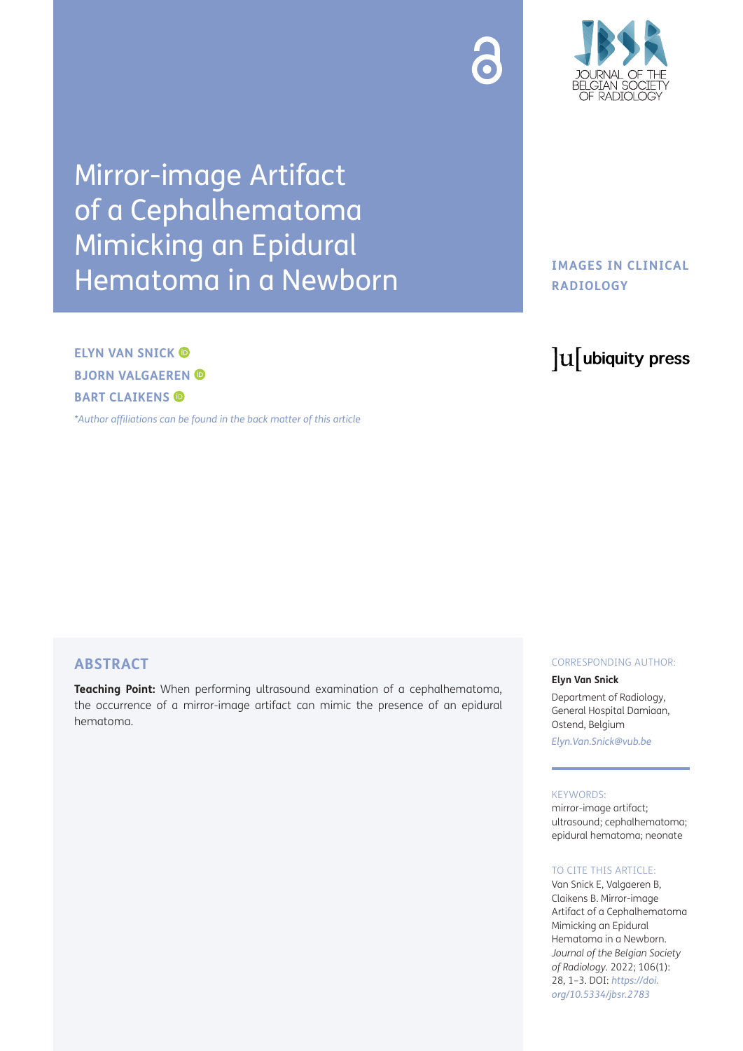

Mirror-image Artifact of a Cephalhematoma Mimicking an Epidural Hematoma in a Newborn

**ELYN VAN SNICK BJORN VALGAEREN BART CLAIKENS** 

*[\\*Author affiliations can be found in the back matter of this article](#page-2-0)*

# **IMAGES IN CLINICAL RADIOLOGY**

# lu ubiquity press

# **ABSTRACT**

**Teaching Point:** When performing ultrasound examination of a cephalhematoma, the occurrence of a mirror-image artifact can mimic the presence of an epidural hematoma.

#### CORRESPONDING AUTHOR:

#### **Elyn Van Snick**

Department of Radiology, General Hospital Damiaan, Ostend, Belgium

*[Elyn.Van.Snick@vub.be](mailto:Elyn.Van.Snick@vub.be)*

#### KEYWORDS:

mirror-image artifact; ultrasound; cephalhematoma; epidural hematoma; neonate

#### TO CITE THIS ARTICLE:

Van Snick E, Valgaeren B, Claikens B. Mirror-image Artifact of a Cephalhematoma Mimicking an Epidural Hematoma in a Newborn. *Journal of the Belgian Society of Radiology.* 2022; 106(1): 28, 1–3. DOI: *[https://doi.](https://doi.org/10.5334/jbsr.2783) [org/10.5334/jbsr.2783](https://doi.org/10.5334/jbsr.2783)*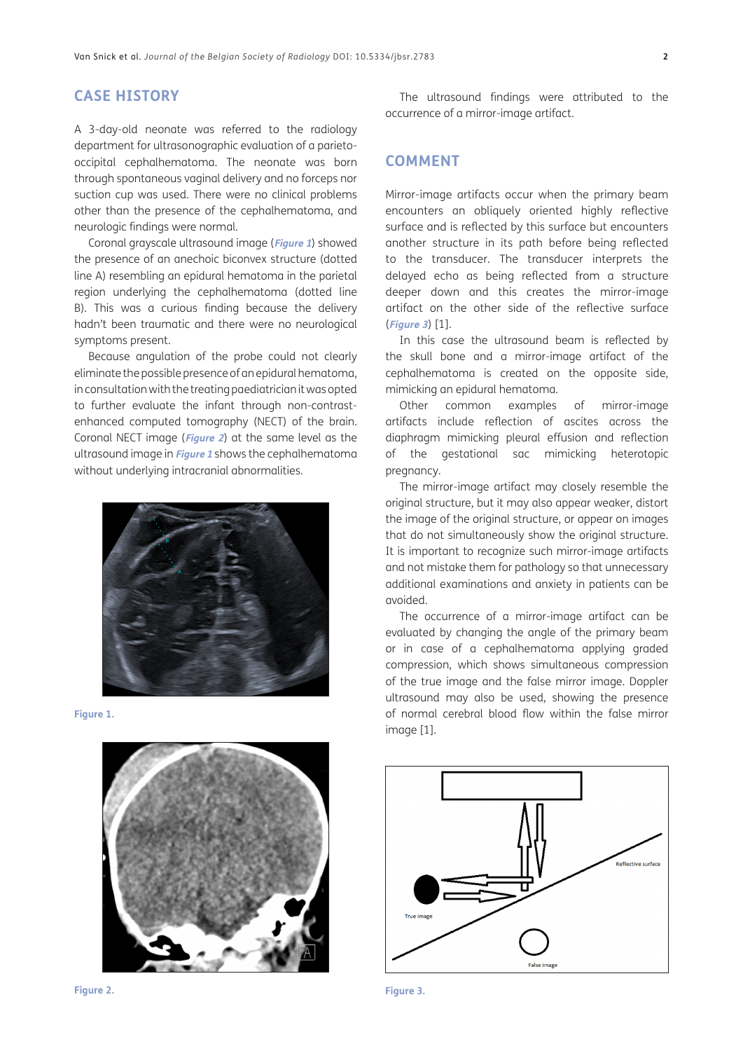## **CASE HISTORY**

A 3-day-old neonate was referred to the radiology department for ultrasonographic evaluation of a parietooccipital cephalhematoma. The neonate was born through spontaneous vaginal delivery and no forceps nor suction cup was used. There were no clinical problems other than the presence of the cephalhematoma, and neurologic findings were normal.

Coronal grayscale ultrasound image (**[Figure 1](#page-1-0)**) showed the presence of an anechoic biconvex structure (dotted line A) resembling an epidural hematoma in the parietal region underlying the cephalhematoma (dotted line B). This was a curious finding because the delivery hadn't been traumatic and there were no neurological symptoms present.

Because angulation of the probe could not clearly eliminate the possible presence of an epidural hematoma, in consultation with the treating paediatrician it was opted to further evaluate the infant through non-contrastenhanced computed tomography (NECT) of the brain. Coronal NECT image (**[Figure 2](#page-1-1)**) at the same level as the ultrasound image in **[Figure 1](#page-1-0)** shows the cephalhematoma without underlying intracranial abnormalities.



**Figure 1.**

<span id="page-1-0"></span>

<span id="page-1-1"></span>

The ultrasound findings were attributed to the occurrence of a mirror-image artifact.

### **COMMENT**

Mirror-image artifacts occur when the primary beam encounters an obliquely oriented highly reflective surface and is reflected by this surface but encounters another structure in its path before being reflected to the transducer. The transducer interprets the delayed echo as being reflected from a structure deeper down and this creates the mirror-image artifact on the other side of the reflective surface (**[Figure 3](#page-1-2)**) [\[1\]](#page-2-1).

In this case the ultrasound beam is reflected by the skull bone and a mirror-image artifact of the cephalhematoma is created on the opposite side, mimicking an epidural hematoma.

Other common examples of mirror-image artifacts include reflection of ascites across the diaphragm mimicking pleural effusion and reflection of the gestational sac mimicking heterotopic pregnancy.

The mirror-image artifact may closely resemble the original structure, but it may also appear weaker, distort the image of the original structure, or appear on images that do not simultaneously show the original structure. It is important to recognize such mirror-image artifacts and not mistake them for pathology so that unnecessary additional examinations and anxiety in patients can be avoided.

The occurrence of a mirror-image artifact can be evaluated by changing the angle of the primary beam or in case of a cephalhematoma applying graded compression, which shows simultaneous compression of the true image and the false mirror image. Doppler ultrasound may also be used, showing the presence of normal cerebral blood flow within the false mirror image [\[1\]](#page-2-1).



<span id="page-1-2"></span>